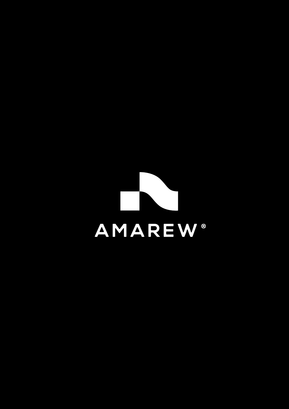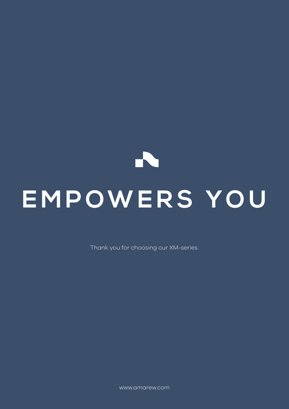# $\blacktriangleright$ **EMPOWERS YOU**

Thank you for choosing our XM-series.

www.amarew.com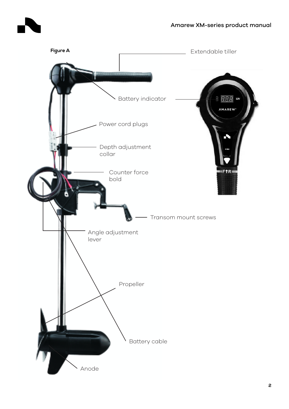

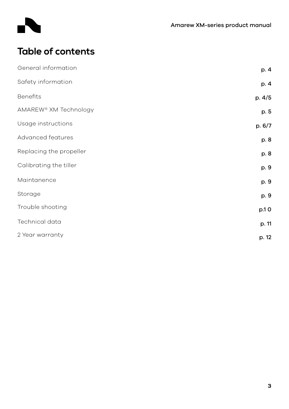

# **Table of contents**

| General information     | p. 4   |
|-------------------------|--------|
| Safety information      | p. 4   |
| <b>Benefits</b>         | p. 4/5 |
| AMAREW® XM Technology   | p. 5   |
| Usage instructions      | p. 6/7 |
| Advanced features       | p. 8   |
| Replacing the propeller | p. 8   |
| Calibrating the tiller  | p. 9   |
| Maintanence             | p. 9   |
| Storage                 | p. 9   |
| Trouble shooting        | p.10   |
| Technical data          | p. 11  |
| 2 Year warranty         | p. 12  |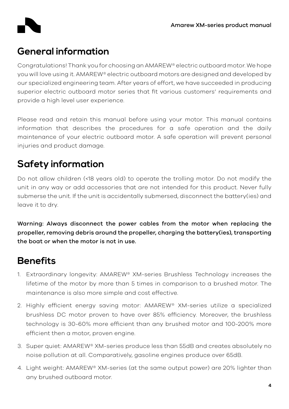

## **General information**

Congratulations! Thank you for choosing an AMAREW® electric outboard motor. We hope you will love using it. AMAREW® electric outboard motors are designed and developed by our specialized engineering team. After years of effort, we have succeeded in producing superior electric outboard motor series that fit various customers' requirements and provide a high level user experience.

Please read and retain this manual before using your motor. This manual contains information that describes the procedures for a safe operation and the daily maintenance of your electric outboard motor. A safe operation will prevent personal injuries and product damage.

## **Safety information**

Do not allow children (<18 years old) to operate the trolling motor. Do not modify the unit in any way or add accessories that are not intended for this product. Never fully submerse the unit. If the unit is accidentally submersed, disconnect the battery(ies) and leave it to dry.

Warning: Always disconnect the power cables from the motor when replacing the propeller, removing debris around the propeller, charging the battery(ies), transporting the boat or when the motor is not in use.

# **Benefits**

- 1. Extraordinary longevity: AMAREW® XM-series Brushless Technology increases the lifetime of the motor by more than 5 times in comparison to a brushed motor. The maintenance is also more simple and cost effective.
- 2. Highly efficient energy saving motor: AMAREW® XM-series utilize a specialized brushless DC motor proven to have over 85% efficiency. Moreover, the brushless technology is 30-60% more efficient than any brushed motor and 100-200% more efficient then a motor, proven engine.
- 3. Super quiet: AMAREW® XM-series produce less than 55dB and creates absolutely no noise pollution at all. Comparatively, gasoline engines produce over 65dB.
- 4. Light weight: AMAREW® XM-series (at the same output power) are 20% lighter than any brushed outboard motor.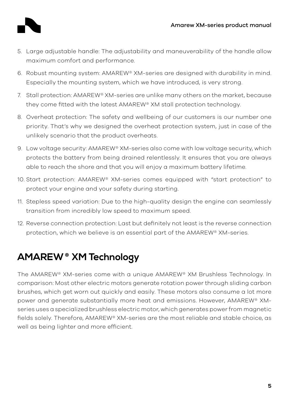

- 5. Large adjustable handle: The adjustability and maneuverability of the handle allow maximum comfort and performance.
- 6. Robust mounting system: AMAREW® XM-series are designed with durability in mind. Especially the mounting system, which we have introduced, is very strong.
- 7. Stall protection: AMAREW® XM-series are unlike many others on the market, because they come fitted with the latest AMAREW® XM stall protection technology.
- 8. Overheat protection: The safety and wellbeing of our customers is our number one priority. That's why we designed the overheat protection system, just in case of the unlikely scenario that the product overheats.
- 9. Low voltage security: AMAREW® XM-series also come with low voltage security, which protects the battery from being drained relentlessly. It ensures that you are always able to reach the shore and that you will enjoy a maximum battery lifetime.
- 10. Start protection: AMAREW® XM-series comes equipped with "start protection" to protect your engine and your safety during starting.
- 11. Stepless speed variation: Due to the high-quality design the engine can seamlessly transition from incredibly low speed to maximum speed.
- 12. Reverse connection protection: Last but definitely not least is the reverse connection protection, which we believe is an essential part of the AMAREW® XM-series.

# **AMAREW XM Technology ®**

The AMAREW® XM-series come with a unique AMAREW® XM Brushless Technology. In comparison: Most other electric motors generate rotation power through sliding carbon brushes, which get worn out quickly and easily. These motors also consume a lot more power and generate substantially more heat and emissions. However, AMAREW® XMseries uses a specialized brushless electric motor, which generates power from magnetic fields solely. Therefore, AMAREW® XM-series are the most reliable and stable choice, as well as being lighter and more efficient.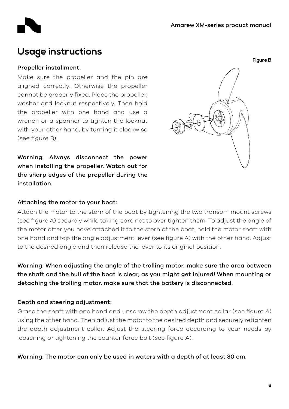

## **Usage instructions**

#### Propeller installment:

Make sure the propeller and the pin are aligned correctly. Otherwise the propeller cannot be properly fixed. Place the propeller, washer and locknut respectively. Then hold the propeller with one hand and use a wrench or a spanner to tighten the locknut with your other hand, by turning it clockwise (see figure B).

Warning: Always disconnect the power when installing the propeller. Watch out for the sharp edges of the propeller during the installation.

#### Attaching the motor to your boat:

Attach the motor to the stern of the boat by tightening the two transom mount screws (see figure A) securely while taking care not to over tighten them. To adjust the angle of the motor after you have attached it to the stern of the boat, hold the motor shaft with one hand and tap the angle adjustment lever (see figure A) with the other hand. Adjust to the desired angle and then release the lever to its original position.

Warning: When adjusting the angle of the trolling motor, make sure the area between the shaft and the hull of the boat is clear, as you might get injured! When mounting or detaching the trolling motor, make sure that the battery is disconnected.

#### Depth and steering adjustment:

Grasp the shaft with one hand and unscrew the depth adjustment collar (see figure A) using the other hand. Then adjust the motor to the desired depth and securely retighten the depth adjustment collar. Adjust the steering force according to your needs by loosening or tightening the counter force bolt (see figure A).

Warning: The motor can only be used in waters with a depth of at least 80 cm.

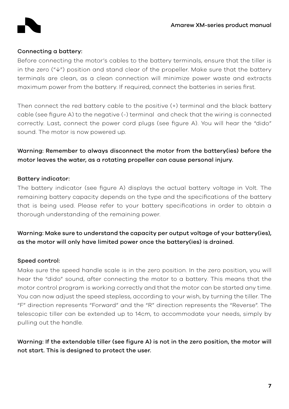

#### Connecting a battery:

Before connecting the motor's cables to the battery terminals, ensure that the tiller is in the zero ("↓") position and stand clear of the propeller. Make sure that the battery terminals are clean, as a clean connection will minimize power waste and extracts maximum power from the battery. If required, connect the batteries in series first.

Then connect the red battery cable to the positive (+) terminal and the black battery cable (see figure A) to the negative (-) terminal and check that the wiring is connected correctly. Last, connect the power cord plugs (see figure A). You will hear the "dido" sound. The motor is now powered up.

## Warning: Remember to always disconnect the motor from the battery(ies) before the motor leaves the water, as a rotating propeller can cause personal injury.

#### Battery indicator:

The battery indicator (see figure A) displays the actual battery voltage in Volt. The remaining battery capacity depends on the type and the specifications of the battery that is being used. Please refer to your battery specifications in order to obtain a thorough understanding of the remaining power.

Warning: Make sure to understand the capacity per output voltage of your battery(ies), as the motor will only have limited power once the battery(ies) is drained.

#### Speed control:

Make sure the speed handle scale is in the zero position. In the zero position, you will hear the "dido" sound, after connecting the motor to a battery. This means that the motor control program is working correctly and that the motor can be started any time. You can now adjust the speed stepless, according to your wish, by turning the tiller. The "F" direction represents "Forward" and the "R" direction represents the "Reverse". The telescopic tiller can be extended up to 14cm, to accommodate your needs, simply by pulling out the handle.

Warning: If the extendable tiller (see figure A) is not in the zero position, the motor will not start. This is designed to protect the user.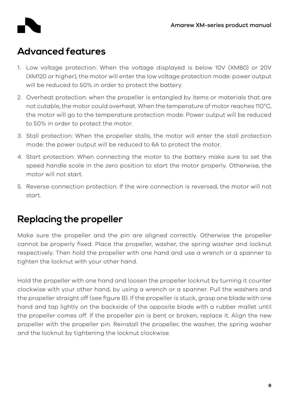## **Advanced features**

- 1. Low voltage protection: When the voltage displayed is below 10V (XM80) or 20V (XM120 or higher), the motor will enter the low voltage protection mode: power output will be reduced to 50% in order to protect the battery.
- 2. Overheat protection: when the propeller is entangled by items or materials that are not cutable, the motor could overheat. When the temperature of motor reaches 110°C, the motor will go to the temperature protection mode: Power output will be reduced to 50% in order to protect the motor.
- 3. Stall protection: When the propeller stalls, the motor will enter the stall protection mode: the power output will be reduced to 6A to protect the motor.
- 4. Start protection: When connecting the motor to the battery make sure to set the speed handle scale in the zero position to start the motor properly. Otherwise, the motor will not start.
- 5. Reverse connection protection: If the wire connection is reversed, the motor will not start.

## **Replacing the propeller**

Make sure the propeller and the pin are aligned correctly. Otherwise the propeller cannot be properly fixed. Place the propeller, washer, the spring washer and locknut respectively. Then hold the propeller with one hand and use a wrench or a spanner to tighten the locknut with your other hand.

Hold the propeller with one hand and loosen the propeller locknut by turning it counter clockwise with your other hand, by using a wrench or a spanner. Pull the washers and the propeller straight off (see figure B). If the propeller is stuck, grasp one blade with one hand and tap lightly on the backside of the opposite blade with a rubber mallet until the propeller comes off. If the propeller pin is bent or broken, replace it. Align the new propeller with the propeller pin. Reinstall the propeller, the washer, the spring washer and the locknut by tightening the locknut clockwise.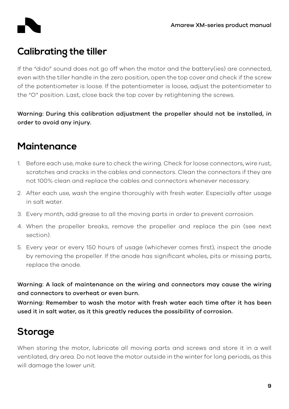

## **Calibrating the tiller**

If the "dido" sound does not go off when the motor and the battery(ies) are connected, even with the tiller handle in the zero position, open the top cover and check if the screw of the potentiometer is loose. If the potentiometer is loose, adjust the potentiometer to the "O" position. Last, close back the top cover by retightening the screws.

Warning: During this calibration adjustment the propeller should not be installed, in order to avoid any injury.

## **Maintenance**

- 1. Before each use, make sure to check the wiring. Check for loose connectors, wire rust, scratches and cracks in the cables and connectors. Clean the connectors if they are not 100% clean and replace the cables and connectors whenever necessary.
- 2. After each use, wash the engine thoroughly with fresh water. Especially after usage in salt water.
- 3. Every month, add grease to all the moving parts in order to prevent corrosion.
- 4. When the propeller breaks, remove the propeller and replace the pin (see next section).
- 5. Every year or every 150 hours of usage (whichever comes first), inspect the anode by removing the propeller. If the anode has significant wholes, pits or missing parts, replace the anode.

Warning: A lack of maintenance on the wiring and connectors may cause the wiring and connectors to overheat or even burn.

Warning: Remember to wash the motor with fresh water each time after it has been used it in salt water, as it this greatly reduces the possibility of corrosion.

# **Storage**

When storing the motor, lubricate all moving parts and screws and store it in a well ventilated, dry area. Do not leave the motor outside in the winter for long periods, as this will damage the lower unit.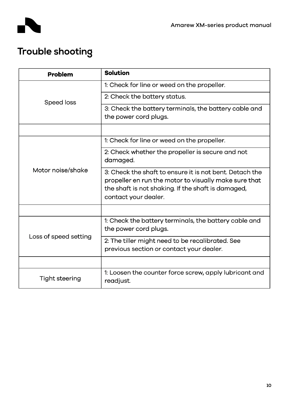

# **Trouble shooting**

| <b>Problem</b>        | <b>Solution</b>                                                                                                                                                                                |  |
|-----------------------|------------------------------------------------------------------------------------------------------------------------------------------------------------------------------------------------|--|
| Speed loss            | 1: Check for line or weed on the propeller.                                                                                                                                                    |  |
|                       | 2: Check the battery status.                                                                                                                                                                   |  |
|                       | 3: Check the battery terminals, the battery cable and<br>the power cord plugs.                                                                                                                 |  |
|                       |                                                                                                                                                                                                |  |
| Motor noise/shake     | 1: Check for line or weed on the propeller.                                                                                                                                                    |  |
|                       | 2: Check whether the propeller is secure and not<br>damaged.                                                                                                                                   |  |
|                       | 3: Check the shaft to ensure it is not bent. Detach the<br>propeller en run the motor to visually make sure that<br>the shaft is not shaking. If the shaft is damaged,<br>contact your dealer. |  |
|                       |                                                                                                                                                                                                |  |
| Loss of speed setting | 1: Check the battery terminals, the battery cable and<br>the power cord plugs.                                                                                                                 |  |
|                       | 2: The tiller might need to be recalibrated. See<br>previous section or contact your dealer.                                                                                                   |  |
|                       |                                                                                                                                                                                                |  |
| Tight steering        | 1: Loosen the counter force screw, apply lubricant and<br>readjust.                                                                                                                            |  |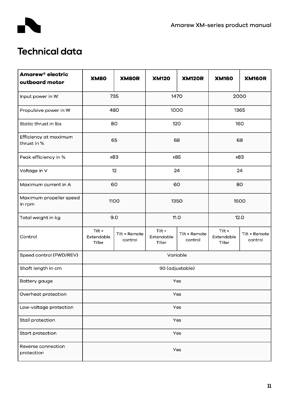

# **Technical data**

| Amarew <sup>®</sup> electric<br>outboard motor | <b>XM80</b>                    | XM80R                    | <b>XM120</b>                   | <b>XM120R</b>            | <b>XM160</b>                   | <b>XM160R</b>            |  |  |
|------------------------------------------------|--------------------------------|--------------------------|--------------------------------|--------------------------|--------------------------------|--------------------------|--|--|
| Input power in W                               | 735                            |                          | 1470                           |                          | 2000                           |                          |  |  |
| Propulsive power in W                          | 480                            |                          | 1000                           |                          | 1365                           |                          |  |  |
| Static thrust in Ibs                           | 80                             |                          | 120                            |                          | 160                            |                          |  |  |
| Efficiency at maximum<br>thrust in %           | 65                             |                          | 68                             |                          | 68                             |                          |  |  |
| Peak efficiency in %                           | ≥83                            |                          | ≥85                            |                          | ≥83                            |                          |  |  |
| Voltage in V                                   | 12                             |                          | 24                             |                          | 24                             |                          |  |  |
| Maximum current in A                           | 60                             |                          | 60                             |                          | 80                             |                          |  |  |
| Maximum propeller speed<br>in rpm              | 1100                           |                          | 1350                           |                          | 1500                           |                          |  |  |
| Total weight in kg                             | 9.0                            |                          | <b>11.0</b>                    |                          | 12.0                           |                          |  |  |
| Control                                        | Tilt +<br>Extendable<br>Tiller | Tilt + Remote<br>control | Tilt +<br>Extendable<br>Tiller | Tilt + Remote<br>control | Tilt +<br>Extendable<br>Tiller | Tilt + Remote<br>control |  |  |
| Speed control (FWD/REV)                        | Variable                       |                          |                                |                          |                                |                          |  |  |
| Shaft length in cm                             | 90 (adjustable)                |                          |                                |                          |                                |                          |  |  |
| Battery gauge                                  | Yes                            |                          |                                |                          |                                |                          |  |  |
| Overheat protection                            | Yes                            |                          |                                |                          |                                |                          |  |  |
| Low-voltage protection                         | Yes                            |                          |                                |                          |                                |                          |  |  |
| Stall protection                               | Yes                            |                          |                                |                          |                                |                          |  |  |
| Start protection                               | Yes                            |                          |                                |                          |                                |                          |  |  |
| Reverse connection<br>protection               | Yes                            |                          |                                |                          |                                |                          |  |  |